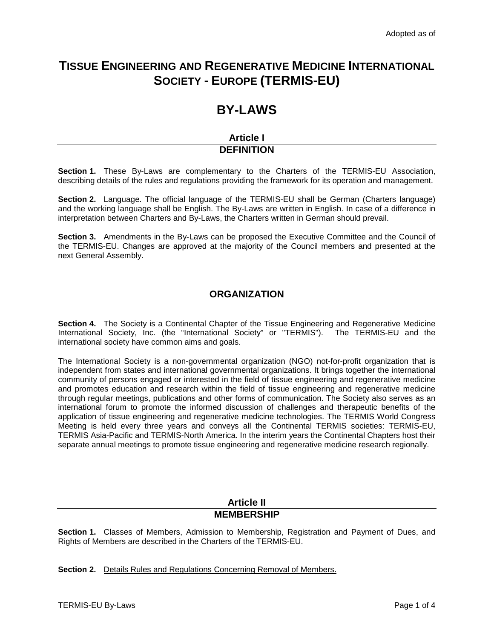## **TISSUE ENGINEERING AND REGENERATIVE MEDICINE INTERNATIONAL SOCIETY - EUROPE (TERMIS-EU)**

# **BY-LAWS**

### **Article I DEFINITION**

**Section 1.** These By-Laws are complementary to the Charters of the TERMIS-EU Association, describing details of the rules and regulations providing the framework for its operation and management.

**Section 2.** Language. The official language of the TERMIS-EU shall be German (Charters language) and the working language shall be English. The By-Laws are written in English. In case of a difference in interpretation between Charters and By-Laws, the Charters written in German should prevail.

**Section 3.** Amendments in the By-Laws can be proposed the Executive Committee and the Council of the TERMIS-EU. Changes are approved at the majority of the Council members and presented at the next General Assembly.

## **ORGANIZATION**

**Section 4.** The Society is a Continental Chapter of the Tissue Engineering and Regenerative Medicine International Society, Inc. (the "International Society" or "TERMIS"). The TERMIS-EU and the international society have common aims and goals.

The International Society is a non-governmental organization (NGO) not-for-profit organization that is independent from states and international governmental organizations. It brings together the international community of persons engaged or interested in the field of tissue engineering and regenerative medicine and promotes education and research within the field of tissue engineering and regenerative medicine through regular meetings, publications and other forms of communication. The Society also serves as an international forum to promote the informed discussion of challenges and therapeutic benefits of the application of tissue engineering and regenerative medicine technologies. The TERMIS World Congress Meeting is held every three years and conveys all the Continental TERMIS societies: TERMIS-EU, TERMIS Asia-Pacific and TERMIS-North America. In the interim years the Continental Chapters host their separate annual meetings to promote tissue engineering and regenerative medicine research regionally.

#### **Article II MEMBERSHIP**

**Section 1.** Classes of Members, Admission to Membership, Registration and Payment of Dues, and Rights of Members are described in the Charters of the TERMIS-EU.

**Section 2.** Details Rules and Regulations Concerning Removal of Members.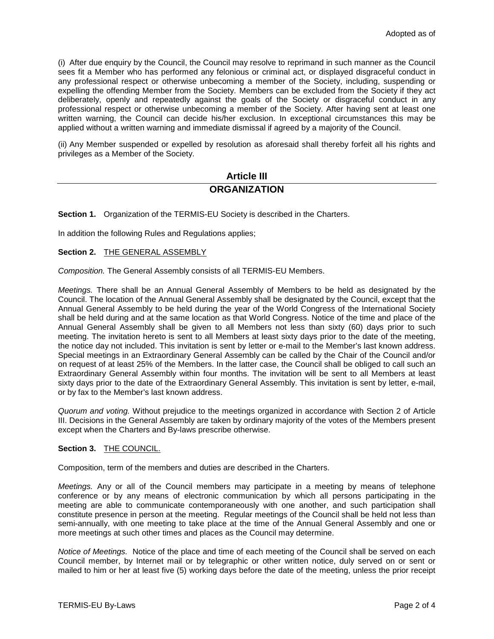(i) After due enquiry by the Council, the Council may resolve to reprimand in such manner as the Council sees fit a Member who has performed any felonious or criminal act, or displayed disgraceful conduct in any professional respect or otherwise unbecoming a member of the Society, including, suspending or expelling the offending Member from the Society. Members can be excluded from the Society if they act deliberately, openly and repeatedly against the goals of the Society or disgraceful conduct in any professional respect or otherwise unbecoming a member of the Society. After having sent at least one written warning, the Council can decide his/her exclusion. In exceptional circumstances this may be applied without a written warning and immediate dismissal if agreed by a majority of the Council.

(ii) Any Member suspended or expelled by resolution as aforesaid shall thereby forfeit all his rights and privileges as a Member of the Society.

### **Article III ORGANIZATION**

**Section 1.** Organization of the TERMIS-EU Society is described in the Charters.

In addition the following Rules and Regulations applies;

#### **Section 2.** THE GENERAL ASSEMBLY

*Composition.* The General Assembly consists of all TERMIS-EU Members.

*Meetings.* There shall be an Annual General Assembly of Members to be held as designated by the Council. The location of the Annual General Assembly shall be designated by the Council, except that the Annual General Assembly to be held during the year of the World Congress of the International Society shall be held during and at the same location as that World Congress. Notice of the time and place of the Annual General Assembly shall be given to all Members not less than sixty (60) days prior to such meeting. The invitation hereto is sent to all Members at least sixty days prior to the date of the meeting, the notice day not included. This invitation is sent by letter or e-mail to the Member's last known address. Special meetings in an Extraordinary General Assembly can be called by the Chair of the Council and/or on request of at least 25% of the Members. In the latter case, the Council shall be obliged to call such an Extraordinary General Assembly within four months. The invitation will be sent to all Members at least sixty days prior to the date of the Extraordinary General Assembly. This invitation is sent by letter, e-mail, or by fax to the Member's last known address.

*Quorum and voting.* Without prejudice to the meetings organized in accordance with Section 2 of Article III. Decisions in the General Assembly are taken by ordinary majority of the votes of the Members present except when the Charters and By-laws prescribe otherwise.

#### **Section 3.** THE COUNCIL.

Composition, term of the members and duties are described in the Charters.

*Meetings.* Any or all of the Council members may participate in a meeting by means of telephone conference or by any means of electronic communication by which all persons participating in the meeting are able to communicate contemporaneously with one another, and such participation shall constitute presence in person at the meeting. Regular meetings of the Council shall be held not less than semi-annually, with one meeting to take place at the time of the Annual General Assembly and one or more meetings at such other times and places as the Council may determine.

*Notice of Meetings.* Notice of the place and time of each meeting of the Council shall be served on each Council member, by Internet mail or by telegraphic or other written notice, duly served on or sent or mailed to him or her at least five (5) working days before the date of the meeting, unless the prior receipt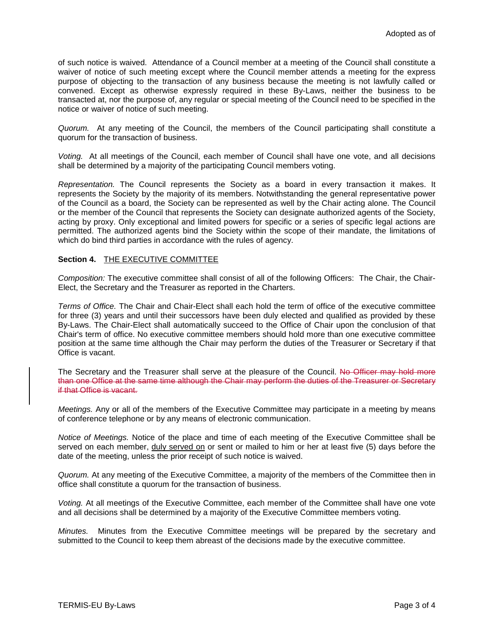of such notice is waived. Attendance of a Council member at a meeting of the Council shall constitute a waiver of notice of such meeting except where the Council member attends a meeting for the express purpose of objecting to the transaction of any business because the meeting is not lawfully called or convened. Except as otherwise expressly required in these By-Laws, neither the business to be transacted at, nor the purpose of, any regular or special meeting of the Council need to be specified in the notice or waiver of notice of such meeting.

*Quorum.* At any meeting of the Council, the members of the Council participating shall constitute a quorum for the transaction of business.

*Voting.* At all meetings of the Council, each member of Council shall have one vote, and all decisions shall be determined by a majority of the participating Council members voting.

*Representation.* The Council represents the Society as a board in every transaction it makes. It represents the Society by the majority of its members. Notwithstanding the general representative power of the Council as a board, the Society can be represented as well by the Chair acting alone. The Council or the member of the Council that represents the Society can designate authorized agents of the Society, acting by proxy. Only exceptional and limited powers for specific or a series of specific legal actions are permitted. The authorized agents bind the Society within the scope of their mandate, the limitations of which do bind third parties in accordance with the rules of agency.

#### **Section 4.** THE EXECUTIVE COMMITTEE

*Composition:* The executive committee shall consist of all of the following Officers: The Chair, the Chair-Elect, the Secretary and the Treasurer as reported in the Charters.

*Terms of Office.* The Chair and Chair-Elect shall each hold the term of office of the executive committee for three (3) years and until their successors have been duly elected and qualified as provided by these By-Laws. The Chair-Elect shall automatically succeed to the Office of Chair upon the conclusion of that Chair's term of office. No executive committee members should hold more than one executive committee position at the same time although the Chair may perform the duties of the Treasurer or Secretary if that Office is vacant.

The Secretary and the Treasurer shall serve at the pleasure of the Council. No Officer may hold more than one Office at the same time although the Chair may perform the duties of the Treasurer or Secretary if that Office is vacant.

*Meetings.* Any or all of the members of the Executive Committee may participate in a meeting by means of conference telephone or by any means of electronic communication.

*Notice of Meetings.* Notice of the place and time of each meeting of the Executive Committee shall be served on each member, duly served on or sent or mailed to him or her at least five (5) days before the date of the meeting, unless the prior receipt of such notice is waived.

*Quorum.* At any meeting of the Executive Committee, a majority of the members of the Committee then in office shall constitute a quorum for the transaction of business.

*Voting.* At all meetings of the Executive Committee, each member of the Committee shall have one vote and all decisions shall be determined by a majority of the Executive Committee members voting.

*Minutes.* Minutes from the Executive Committee meetings will be prepared by the secretary and submitted to the Council to keep them abreast of the decisions made by the executive committee.